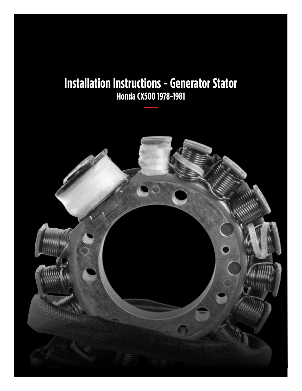#### **Installation Instructions - Generator Stator Honda CX500 1978-1981**

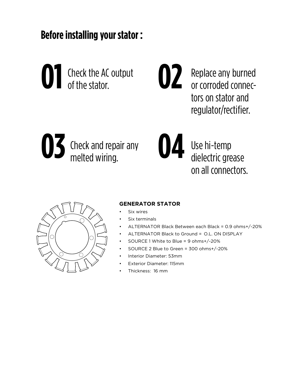**Before installing your stator :**



Replace any burned or corroded connectors on stator and regulator/rectifier.





**02**

Use hi-temp dielectric grease on all connectors.



#### **GENERATOR STATOR**

- Six wires
- Six terminals
- ALTERNATOR Black Between each Black = 0.9 ohms+/-20%
- ALTERNATOR Black to Ground =ᅠO.L. ON DISPLAY
- SOURCE 1 White to Blue = 9 ohms+/-20%
- SOURCE 2 Blue to Green = 300 ohms+/-20%
- Interior Diameter: 53mm
- Exterior Diameter: 115mm
- Thickness: 16 mm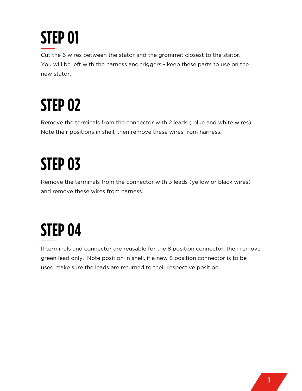# **STEP 01**

Cut the 6 wires between the stator and the grommet closest to the stator. You will be left with the harness and triggers - keep these parts to use on the new stator.

# **STEP 02**

Remove the terminals from the connector with 2 leads ( blue and white wires). Note their positions in shell, then remove these wires from harness.

### **STEP 03**

Remove the terminals from the connector with 3 leads (yellow or black wires) and remove these wires from harness.

### **STEP 04**

If terminals and connector are reusable for the 8 position connector, then remove green lead only. Note position in shell, if a new 8 position connector is to be used make sure the leads are returned to their respective position.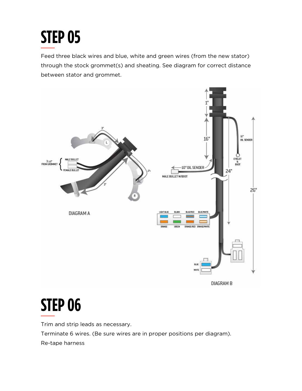## **STEP 05**

Feed three black wires and blue, white and green wires (from the new stator) through the stock grommet(s) and sheating. See diagram for correct distance between stator and grommet.



### **STEP 06**

Trim and strip leads as necessary. Terminate 6 wires. (Be sure wires are in proper positions per diagram). Re-tape harness